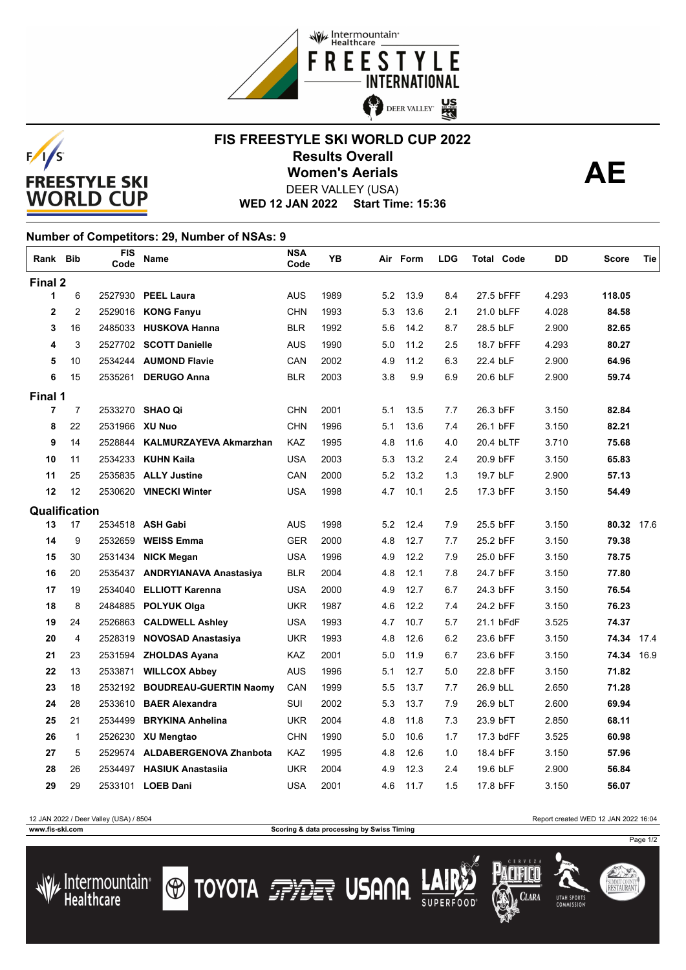



## **FIS FREESTYLE SKI WORLD CUP 2022 Results Overall AE Women's Aerials** DEER VALLEY (USA)

**WED 12 JAN 2022 Start Time: 15:36**

## **Number of Competitors: 29, Number of NSAs: 9** r

| Rank Bib      |                | FIS<br>Code    | Name                           | <b>NSA</b><br>Code | YB   |     | Air Form | <b>LDG</b> | <b>Total Code</b> | DD    | Score      | Tie  |
|---------------|----------------|----------------|--------------------------------|--------------------|------|-----|----------|------------|-------------------|-------|------------|------|
| Final 2       |                |                |                                |                    |      |     |          |            |                   |       |            |      |
| 1             | 6              |                | 2527930 PEEL Laura             | <b>AUS</b>         | 1989 | 5.2 | 13.9     | 8.4        | 27.5 bFFF         | 4.293 | 118.05     |      |
| $\mathbf{2}$  | 2              |                | 2529016 KONG Fanyu             | <b>CHN</b>         | 1993 | 5.3 | 13.6     | 2.1        | 21.0 bLFF         | 4.028 | 84.58      |      |
| 3             | 16             |                | 2485033 HUSKOVA Hanna          | <b>BLR</b>         | 1992 | 5.6 | 14.2     | 8.7        | 28.5 bLF          | 2.900 | 82.65      |      |
| 4             | 3              |                | 2527702 SCOTT Danielle         | <b>AUS</b>         | 1990 | 5.0 | 11.2     | 2.5        | 18.7 bFFF         | 4.293 | 80.27      |      |
| 5             | 10             |                | 2534244 AUMOND Flavie          | CAN                | 2002 | 4.9 | 11.2     | 6.3        | 22.4 bLF          | 2.900 | 64.96      |      |
| 6             | 15             | 2535261        | <b>DERUGO Anna</b>             | <b>BLR</b>         | 2003 | 3.8 | 9.9      | 6.9        | 20.6 bLF          | 2.900 | 59.74      |      |
| Final 1       |                |                |                                |                    |      |     |          |            |                   |       |            |      |
| 7             | $\overline{7}$ |                | 2533270 SHAO Qi                | CHN                | 2001 | 5.1 | 13.5     | 7.7        | 26.3 bFF          | 3.150 | 82.84      |      |
| 8             | 22             | 2531966 XU Nuo |                                | <b>CHN</b>         | 1996 | 5.1 | 13.6     | 7.4        | 26.1 bFF          | 3.150 | 82.21      |      |
| 9             | 14             | 2528844        | <b>KALMURZAYEVA Akmarzhan</b>  | KAZ                | 1995 | 4.8 | 11.6     | 4.0        | 20.4 bLTF         | 3.710 | 75.68      |      |
| 10            | 11             | 2534233        | <b>KUHN Kaila</b>              | <b>USA</b>         | 2003 | 5.3 | 13.2     | 2.4        | 20.9 bFF          | 3.150 | 65.83      |      |
| 11            | 25             | 2535835        | <b>ALLY Justine</b>            | CAN                | 2000 | 5.2 | 13.2     | 1.3        | 19.7 bLF          | 2.900 | 57.13      |      |
| 12            | 12             |                | 2530620 VINECKI Winter         | <b>USA</b>         | 1998 | 4.7 | 10.1     | 2.5        | 17.3 bFF          | 3.150 | 54.49      |      |
| Qualification |                |                |                                |                    |      |     |          |            |                   |       |            |      |
| 13            | 17             |                | 2534518 ASH Gabi               | <b>AUS</b>         | 1998 | 5.2 | 12.4     | 7.9        | 25.5 bFF          | 3.150 | 80.32 17.6 |      |
| 14            | 9              | 2532659        | <b>WEISS Emma</b>              | <b>GER</b>         | 2000 | 4.8 | 12.7     | 7.7        | 25.2 bFF          | 3.150 | 79.38      |      |
| 15            | 30             | 2531434        | <b>NICK Megan</b>              | <b>USA</b>         | 1996 | 4.9 | 12.2     | 7.9        | 25.0 bFF          | 3.150 | 78.75      |      |
| 16            | 20             |                | 2535437 ANDRYIANAVA Anastasiya | <b>BLR</b>         | 2004 | 4.8 | 12.1     | 7.8        | 24.7 bFF          | 3.150 | 77.80      |      |
| 17            | 19             | 2534040        | <b>ELLIOTT Karenna</b>         | <b>USA</b>         | 2000 | 4.9 | 12.7     | 6.7        | 24.3 bFF          | 3.150 | 76.54      |      |
| 18            | 8              | 2484885        | <b>POLYUK Olga</b>             | <b>UKR</b>         | 1987 | 4.6 | 12.2     | 7.4        | 24.2 bFF          | 3.150 | 76.23      |      |
| 19            | 24             | 2526863        | <b>CALDWELL Ashley</b>         | <b>USA</b>         | 1993 | 4.7 | 10.7     | 5.7        | 21.1 bFdF         | 3.525 | 74.37      |      |
| 20            | 4              | 2528319        | <b>NOVOSAD Anastasiya</b>      | <b>UKR</b>         | 1993 | 4.8 | 12.6     | 6.2        | 23.6 bFF          | 3.150 | 74.34      | 17.4 |
| 21            | 23             |                | 2531594 ZHOLDAS Ayana          | KAZ                | 2001 | 5.0 | 11.9     | 6.7        | 23.6 bFF          | 3.150 | 74.34      | 16.9 |
| 22            | 13             | 2533871        | <b>WILLCOX Abbey</b>           | AUS                | 1996 | 5.1 | 12.7     | 5.0        | 22.8 bFF          | 3.150 | 71.82      |      |
| 23            | 18             | 2532192        | <b>BOUDREAU-GUERTIN Naomy</b>  | CAN                | 1999 | 5.5 | 13.7     | 7.7        | 26.9 bLL          | 2.650 | 71.28      |      |
| 24            | 28             | 2533610        | <b>BAER Alexandra</b>          | <b>SUI</b>         | 2002 | 5.3 | 13.7     | 7.9        | 26.9 bLT          | 2.600 | 69.94      |      |
| 25            | 21             | 2534499        | <b>BRYKINA Anhelina</b>        | <b>UKR</b>         | 2004 | 4.8 | 11.8     | 7.3        | 23.9 bFT          | 2.850 | 68.11      |      |
| 26            | $\mathbf{1}$   | 2526230        | <b>XU Mengtao</b>              | <b>CHN</b>         | 1990 | 5.0 | 10.6     | 1.7        | 17.3 bdFF         | 3.525 | 60.98      |      |
| 27            | 5              |                | 2529574 ALDABERGENOVA Zhanbota | KAZ                | 1995 | 4.8 | 12.6     | 1.0        | 18.4 bFF          | 3.150 | 57.96      |      |
| 28            | 26             | 2534497        | <b>HASIUK Anastasija</b>       | <b>UKR</b>         | 2004 | 4.9 | 12.3     | 2.4        | 19.6 bLF          | 2.900 | 56.84      |      |
| 29            | 29             |                | 2533101 LOEB Dani              | <b>USA</b>         | 2001 | 4.6 | 11.7     | 1.5        | 17.8 bFF          | 3.150 | 56.07      |      |

**www.fis-ski.com Scoring & data processing by Swiss Timing**

12 JAN 2022 / Deer Valley (USA) / 8504 Report created WED 12 JAN 2022 16:04

Page 1/2

SUMMIT COUNT<br>**RESTAURAN**T





**TOYOTA FILE USANA**